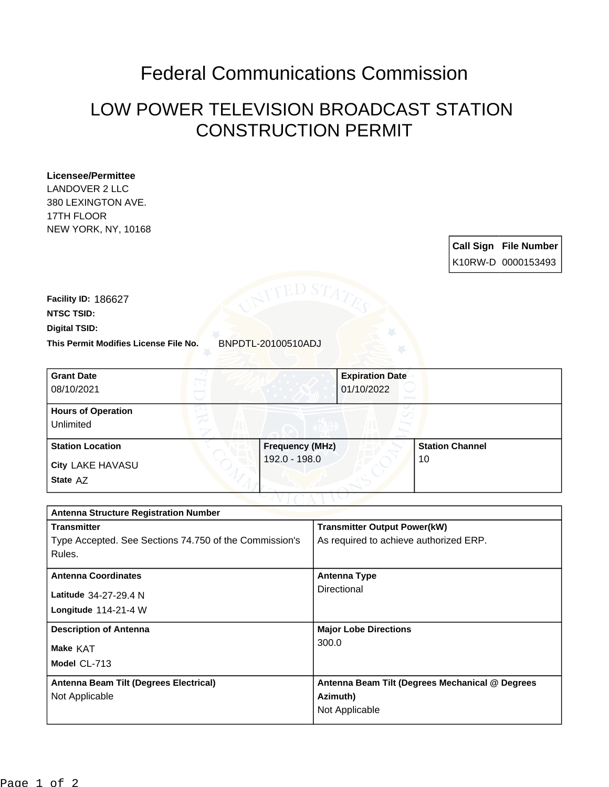## Federal Communications Commission

## LOW POWER TELEVISION BROADCAST STATION CONSTRUCTION PERMIT

## **Licensee/Permittee**

LANDOVER 2 LLC 380 LEXINGTON AVE. 17TH FLOOR NEW YORK, NY, 10168

> **Call Sign File Number** K10RW-D 0000153493

**This Permit Modifies License File No.** BNPDTL-20100510ADJ **Digital TSID: NTSC TSID: Facility ID:** 186627

| <b>Grant Date</b><br>08/10/2021        | <b>Expiration Date</b><br>01/10/2022 |                        |
|----------------------------------------|--------------------------------------|------------------------|
| <b>Hours of Operation</b><br>Unlimited |                                      |                        |
| <b>Station Location</b>                | <b>Frequency (MHz)</b>               | <b>Station Channel</b> |
| <b>City LAKE HAVASU</b><br>State AZ    | 192.0 - 198.0                        | 10                     |

| <b>Antenna Structure Registration Number</b>           |                                                 |  |  |
|--------------------------------------------------------|-------------------------------------------------|--|--|
| <b>Transmitter</b>                                     | <b>Transmitter Output Power(kW)</b>             |  |  |
| Type Accepted. See Sections 74.750 of the Commission's | As required to achieve authorized ERP.          |  |  |
| Rules.                                                 |                                                 |  |  |
| <b>Antenna Coordinates</b>                             | <b>Antenna Type</b>                             |  |  |
| Latitude 34-27-29.4 N                                  | Directional                                     |  |  |
| Longitude $114-21-4$ W                                 |                                                 |  |  |
| <b>Description of Antenna</b>                          | <b>Major Lobe Directions</b>                    |  |  |
| Make KAT                                               | 300.0                                           |  |  |
| Model CL-713                                           |                                                 |  |  |
| Antenna Beam Tilt (Degrees Electrical)                 | Antenna Beam Tilt (Degrees Mechanical @ Degrees |  |  |
| Not Applicable                                         | Azimuth)                                        |  |  |
|                                                        | Not Applicable                                  |  |  |